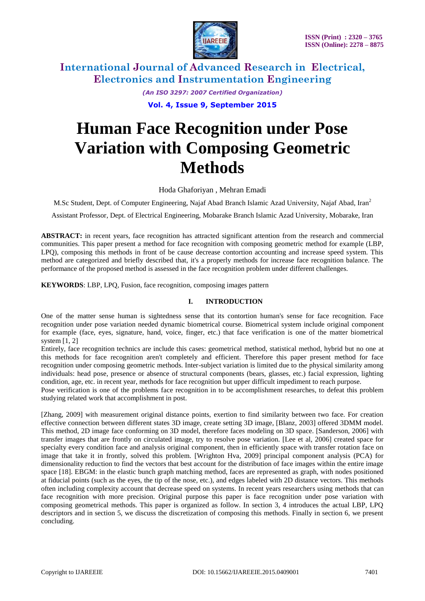

> *(An ISO 3297: 2007 Certified Organization)* **Vol. 4, Issue 9, September 2015**

# **Human Face Recognition under Pose Variation with Composing Geometric Methods**

Hoda Ghaforiyan , Mehran Emadi

M.Sc Student, Dept. of Computer Engineering, Najaf Abad Branch Islamic Azad University, Najaf Abad, Iran<sup>2</sup>

Assistant Professor, Dept. of Electrical Engineering, Mobarake Branch Islamic Azad University, Mobarake, Iran

**ABSTRACT:** in recent years, face recognition has attracted significant attention from the research and commercial communities. This paper present a method for face recognition with composing geometric method for example (LBP, LPQ), composing this methods in front of be cause decrease contortion accounting and increase speed system. This method are categorized and briefly described that, it's a properly methods for increase face recognition balance. The performance of the proposed method is assessed in the face recognition problem under different challenges.

**KEYWORDS**: LBP, LPQ, Fusion, face recognition, composing images pattern

### **I. INTRODUCTION**

One of the matter sense human is sightedness sense that its contortion human's sense for face recognition. Face recognition under pose variation needed dynamic biometrical course. Biometrical system include original component for example (face, eyes, signature, hand, voice, finger, etc.) that face verification is one of the matter biometrical system [1, 2]

Entirely, face recognition technics are include this cases: geometrical method, statistical method, hybrid but no one at this methods for face recognition aren't completely and efficient. Therefore this paper present method for face recognition under composing geometric methods. Inter-subject variation is limited due to the physical similarity among individuals: head pose, presence or absence of structural components (bears, glasses, etc.) facial expression, lighting condition, age, etc. in recent year, methods for face recognition but upper difficult impediment to reach purpose.

Pose verification is one of the problems face recognition in to be accomplishment researches, to defeat this problem studying related work that accomplishment in post.

[Zhang, 2009] with measurement original distance points, exertion to find similarity between two face. For creation effective connection between different states 3D image, create setting 3D image, [Blanz, 2003] offered 3DMM model. This method, 2D image face conforming on 3D model, therefore faces modeling on 3D space. [Sanderson, 2006] with transfer images that are frontly on circulated image, try to resolve pose variation. [Lee et al, 2006] created space for specialty every condition face and analysis original component, then in efficiently space with transfer rotation face on image that take it in frontly, solved this problem. [Wrighton Hva, 2009] principal component analysis (PCA) for dimensionality reduction to find the vectors that best account for the distribution of face images within the entire image space [18]. EBGM: in the elastic bunch graph matching method, faces are represented as graph, with nodes positioned at fiducial points (such as the eyes, the tip of the nose, etc.), and edges labeled with 2D distance vectors. This methods often including complexity account that decrease speed on systems. In recent years researchers using methods that can face recognition with more precision. Original purpose this paper is face recognition under pose variation with composing geometrical methods. This paper is organized as follow. In section 3, 4 introduces the actual LBP, LPQ descriptors and in section 5, we discuss the discretization of composing this methods. Finally in section 6, we present concluding.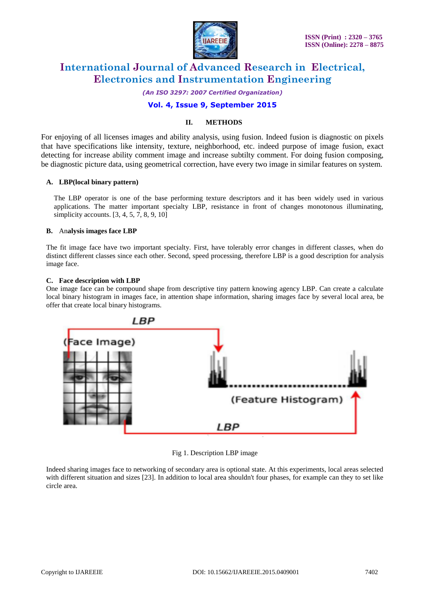

*(An ISO 3297: 2007 Certified Organization)*

## **Vol. 4, Issue 9, September 2015**

### **II. METHODS**

For enjoying of all licenses images and ability analysis, using fusion. Indeed fusion is diagnostic on pixels that have specifications like intensity, texture, neighborhood, etc. indeed purpose of image fusion, exact detecting for increase ability comment image and increase subtilty comment. For doing fusion composing, be diagnostic picture data, using geometrical correction, have every two image in similar features on system.

### **A. LBP(local binary pattern)**

The LBP operator is one of the base performing texture descriptors and it has been widely used in various applications. The matter important specialty LBP, resistance in front of changes monotonous illuminating, simplicity accounts. [3, 4, 5, 7, 8, 9, 10]

### **B.** An**alysis images face LBP**

The fit image face have two important specialty. First, have tolerably error changes in different classes, when do distinct different classes since each other. Second, speed processing, therefore LBP is a good description for analysis image face.

### **C. Face description with LBP**

One image face can be compound shape from descriptive tiny pattern knowing agency LBP. Can create a calculate local binary histogram in images face, in attention shape information, sharing images face by several local area, be offer that create local binary histograms.



Fig 1. Description LBP image

Indeed sharing images face to networking of secondary area is optional state. At this experiments, local areas selected with different situation and sizes [23]. In addition to local area shouldn't four phases, for example can they to set like circle area.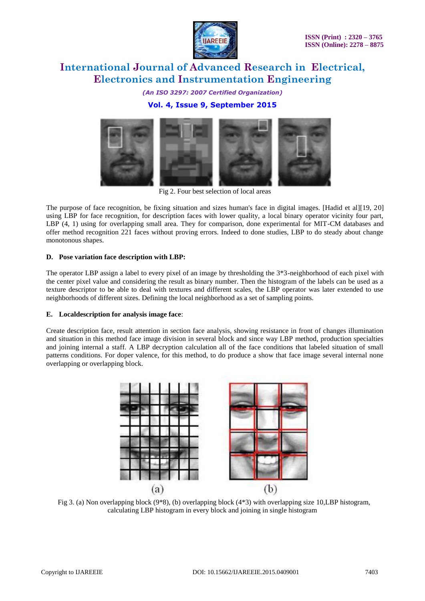

*(An ISO 3297: 2007 Certified Organization)* **Vol. 4, Issue 9, September 2015**



Fig 2. Four best selection of local areas

The purpose of face recognition, be fixing situation and sizes human's face in digital images. [Hadid et al][19, 20] using LBP for face recognition, for description faces with lower quality, a local binary operator vicinity four part, LBP (4, 1) using for overlapping small area. They for comparison, done experimental for MIT-CM databases and offer method recognition 221 faces without proving errors. Indeed to done studies, LBP to do steady about change monotonous shapes.

### **D. Pose variation face description with LBP:**

The operator LBP assign a label to every pixel of an image by thresholding the 3\*3-neighborhood of each pixel with the center pixel value and considering the result as binary number. Then the histogram of the labels can be used as a texture descriptor to be able to deal with textures and different scales, the LBP operator was later extended to use neighborhoods of different sizes. Defining the local neighborhood as a set of sampling points.

### **E. Localdescription for analysis image face**:

Create description face, result attention in section face analysis, showing resistance in front of changes illumination and situation in this method face image division in several block and since way LBP method, production specialties and joining internal a staff. A LBP decryption calculation all of the face conditions that labeled situation of small patterns conditions. For doper valence, for this method, to do produce a show that face image several internal none overlapping or overlapping block.



Fig 3. (a) Non overlapping block (9\*8), (b) overlapping block (4\*3) with overlapping size 10, LBP histogram, calculating LBP histogram in every block and joining in single histogram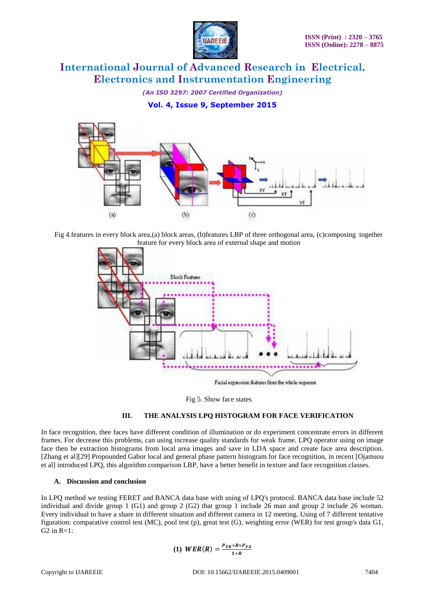

*(An ISO 3297: 2007 Certified Organization)* **Vol. 4, Issue 9, September 2015**



Fig 4.features in every block area,(a) block areas, (b)features LBP of three orthogonal area, (c)composing together feature for every block area of external shape and motion



Fig 5. Show face states

### **III. THE ANALYSIS LPQ HISTOGRAM FOR FACE VERIFICATION**

In face recognition, thee faces have different condition of illumination or do experiment concentrate errors in different frames. For decrease this problems, can using increase quality standards for weak frame. LPQ operator using on image face then be extraction histograms from local area images and save in LDA space and create face area description. [Zhang et al][29] Propounded Gabor local and general phase pattern histogram for face recognition, in recent [Ojamsou et al] introduced LPQ, this algorithm comparison LBP, have a better benefit in texture and face recognition classes.

### **A. Discussion and conclusion**

In LPQ method we testing FERET and BANCA data base with using of LPQ's protocol. BANCA data base include 52 individual and divide group 1 (G1) and group 2 (G2) that group 1 include 26 man and group 2 include 26 woman. Every individual to have a share in different situation and different camera in 12 meeting. Using of 7 different tentative figuration: comparative control test (MC), pool test (p), great test (G), weighting error (WER) for test group's data G1,  $G2$  in  $R=1$ :

$$
(1) \text{ WER}(R) = \frac{P_{FR} + R \times P_{FA}}{1+R}
$$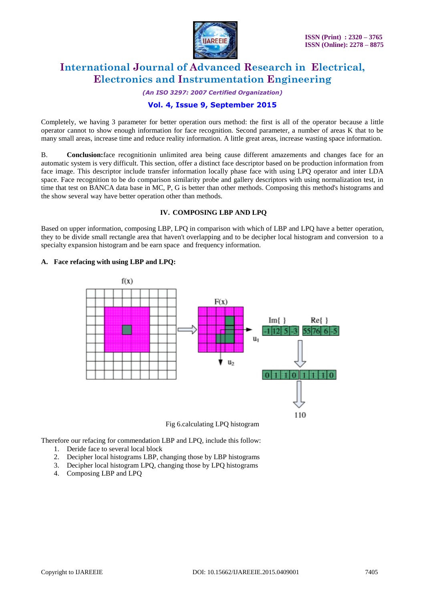

#### *(An ISO 3297: 2007 Certified Organization)*

### **Vol. 4, Issue 9, September 2015**

Completely, we having 3 parameter for better operation ours method: the first is all of the operator because a little operator cannot to show enough information for face recognition. Second parameter, a number of areas K that to be many small areas, increase time and reduce reality information. A little great areas, increase wasting space information.

B. **Conclusion:**face recognitionin unlimited area being cause different amazements and changes face for an automatic system is very difficult. This section, offer a distinct face descriptor based on be production information from face image. This descriptor include transfer information locally phase face with using LPQ operator and inter LDA space. Face recognition to be do comparison similarity probe and gallery descriptors with using normalization test, in time that test on BANCA data base in MC, P, G is better than other methods. Composing this method's histograms and the show several way have better operation other than methods.

### **IV. COMPOSING LBP AND LPQ**

Based on upper information, composing LBP, LPQ in comparison with which of LBP and LPQ have a better operation, they to be divide small rectangle area that haven't overlapping and to be decipher local histogram and conversion to a specialty expansion histogram and be earn space and frequency information.

### **A. Face refacing with using LBP and LPQ:**



Fig 6.calculating LPQ histogram

Therefore our refacing for commendation LBP and LPQ, include this follow:

- 1. Deride face to several local block
- 2. Decipher local histograms LBP, changing those by LBP histograms
- 3. Decipher local histogram LPQ, changing those by LPQ histograms
- 4. Composing LBP and LPQ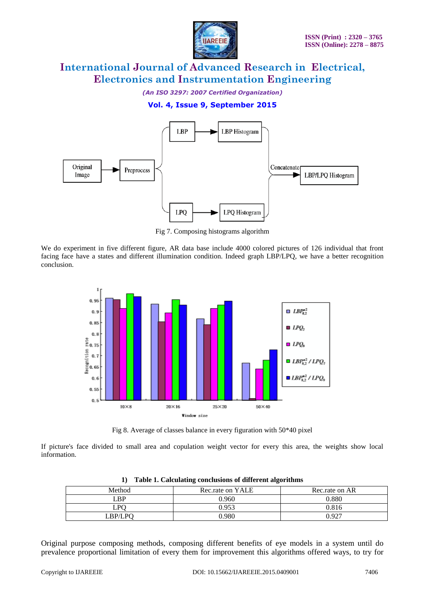

*(An ISO 3297: 2007 Certified Organization)*

### **Vol. 4, Issue 9, September 2015**



Fig 7. Composing histograms algorithm

We do experiment in five different figure, AR data base include 4000 colored pictures of 126 individual that front facing face have a states and different illumination condition. Indeed graph LBP/LPQ, we have a better recognition conclusion.



Fig 8. Average of classes balance in every figuration with 50\*40 pixel

If picture's face divided to small area and copulation weight vector for every this area, the weights show local information.

| Method  | Rec.rate on YALE | Rec.rate on AR |
|---------|------------------|----------------|
| LBP     | 0.960            | 0.880          |
| LPO.    | 0.953            | 0.816          |
| LBP/LPO | ).980            | 0.927          |

**1) Table 1. Calculating conclusions of different algorithms**

Original purpose composing methods, composing different benefits of eye models in a system until do prevalence proportional limitation of every them for improvement this algorithms offered ways, to try for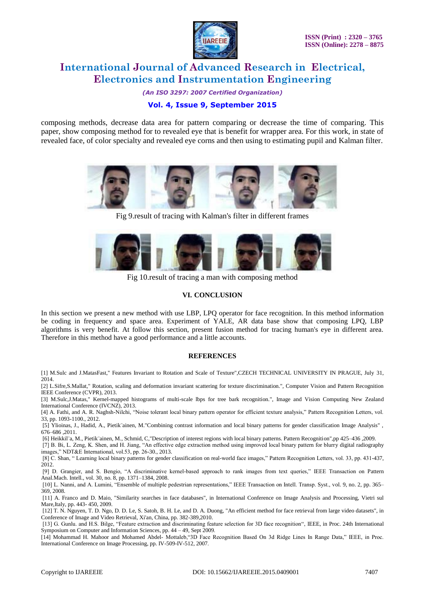

*(An ISO 3297: 2007 Certified Organization)*

### **Vol. 4, Issue 9, September 2015**

composing methods, decrease data area for pattern comparing or decrease the time of comparing. This paper, show composing method for to revealed eye that is benefit for wrapper area. For this work, in state of revealed face, of color specialty and revealed eye corns and then using to estimating pupil and Kalman filter.



Fig 9.result of tracing with Kalman's filter in different frames



Fig 10.result of tracing a man with composing method

### **VI. CONCLUSION**

In this section we present a new method with use LBP, LPQ operator for face recognition. In this method information be coding in frequency and space area. Experiment of YALE, AR data base show that composing LPQ, LBP algorithms is very benefit. At follow this section, present fusion method for tracing human's eye in different area. Therefore in this method have a good performance and a little accounts.

### **REFERENCES**

[1] M.Sulc and J.MatasFast," Features Invariant to Rotation and Scale of Texture",CZECH TECHNICAL UNIVERSITY IN PRAGUE, July 31, 2014.

[2] L.Sifre,S.Mallat," Rotation, scaling and deformation invariant scattering for texture discrimination.", Computer Vision and Pattern Recognition IEEE Conference (CVPR), 2013.

[3] M.Sulc,J.Matas," Kernel-mapped histograms of multi-scale lbps for tree bark recognition.", Image and Vision Computing New Zealand International Conference (IVCNZ), 2013.

[4] A. Fathi, and A. R. Naghsh-Nilchi, "Noise tolerant local binary pattern operator for efficient texture analysis," Pattern Recognition Letters, vol. 33, pp. 1093-1100., 2012.

[5] Ylioinas, J., Hadid, A., Pietik¨ainen, M."Combining contrast information and local binary patterns for gender classification Image Analysis" , 676–686 ,2011.

[6] Heikkil¨a, M., Pietik¨ainen, M., Schmid, C,"Description of interest regions with local binary patterns. Pattern Recognition",pp 425–436 ,2009.

[7] B. Bi, L. Zeng, K. Shen, and H. Jiang, "An effective edge extraction method using improved local binary pattern for blurry digital radiography images," NDT&E International, vol.53, pp. 26-30., 2013.

[8] C. Shan, " Learning local binary patterns for gender classification on real-world face images," Pattern Recognition Letters, vol. 33, pp. 431-437, 2012.

[9] D. Grangier, and S. Bengio, "A discriminative kernel-based approach to rank images from text queries," IEEE Transaction on Pattern Anal.Mach. Intell., vol. 30, no. 8, pp. 1371–1384, 2008.

[10] L. Nanni, and A. Lumini, "Ensemble of multiple pedestrian representations," IEEE Transaction on Intell. Transp. Syst., vol. 9, no. 2, pp. 365– 369, 2008.

[11] A. Franco and D. Maio, "Similarity searches in face databases", in International Conference on Image Analysis and Processing, Vietri sul Mare,Italy, pp. 443- 450, 2009.

[12] T. N. Nguyen, T. D. Ngo, D. D. Le, S. Satoh, B. H. Le, and D. A. Duong, "An efficient method for face retrieval from large video datasets", in Conference of Image and Video Retrieval, Xi'an, China, pp. 382-389,2010.

[13] G. Gunlu. and H.S. Bilge, "Feature extraction and discriminating feature selection for 3D face recognition", IEEE, in Proc. 24th International Symposium on Computer and Information Sciences, pp. 44 – 49, Sept 2009.

[14] Mohammad H. Mahoor and Mohamed Abdel- Mottaleb,"3D Face Recognition Based On 3d Ridge Lines In Range Data," IEEE, in Proc. International Conference on Image Processing, pp. IV-509-IV-512, 2007.